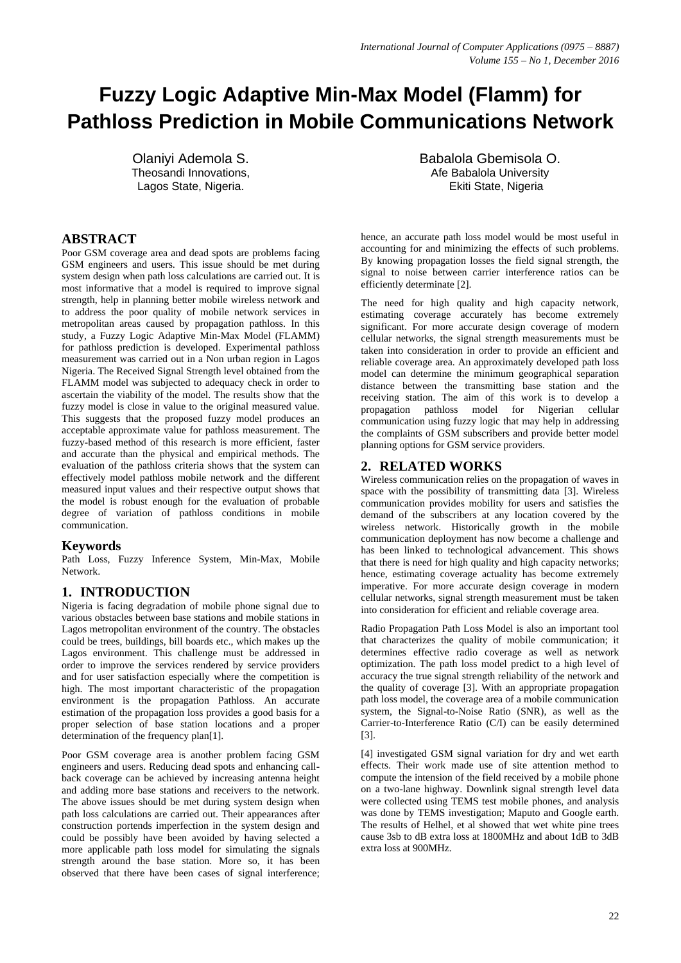# **Fuzzy Logic Adaptive Min-Max Model (Flamm) for Pathloss Prediction in Mobile Communications Network**

Olaniyi Ademola S. Theosandi Innovations, Lagos State, Nigeria.

# **ABSTRACT**

Poor GSM coverage area and dead spots are problems facing GSM engineers and users. This issue should be met during system design when path loss calculations are carried out. It is most informative that a model is required to improve signal strength, help in planning better mobile wireless network and to address the poor quality of mobile network services in metropolitan areas caused by propagation pathloss. In this study, a Fuzzy Logic Adaptive Min-Max Model (FLAMM) for pathloss prediction is developed. Experimental pathloss measurement was carried out in a Non urban region in Lagos Nigeria. The Received Signal Strength level obtained from the FLAMM model was subjected to adequacy check in order to ascertain the viability of the model. The results show that the fuzzy model is close in value to the original measured value. This suggests that the proposed fuzzy model produces an acceptable approximate value for pathloss measurement. The fuzzy-based method of this research is more efficient, faster and accurate than the physical and empirical methods. The evaluation of the pathloss criteria shows that the system can effectively model pathloss mobile network and the different measured input values and their respective output shows that the model is robust enough for the evaluation of probable degree of variation of pathloss conditions in mobile communication.

# **Keywords**

Path Loss, Fuzzy Inference System, Min-Max, Mobile Network.

# **1. INTRODUCTION**

Nigeria is facing degradation of mobile phone signal due to various obstacles between base stations and mobile stations in Lagos metropolitan environment of the country. The obstacles could be trees, buildings, bill boards etc., which makes up the Lagos environment. This challenge must be addressed in order to improve the services rendered by service providers and for user satisfaction especially where the competition is high. The most important characteristic of the propagation environment is the propagation Pathloss. An accurate estimation of the propagation loss provides a good basis for a proper selection of base station locations and a proper determination of the frequency plan[1].

Poor GSM coverage area is another problem facing GSM engineers and users. Reducing dead spots and enhancing callback coverage can be achieved by increasing antenna height and adding more base stations and receivers to the network. The above issues should be met during system design when path loss calculations are carried out. Their appearances after construction portends imperfection in the system design and could be possibly have been avoided by having selected a more applicable path loss model for simulating the signals strength around the base station. More so, it has been observed that there have been cases of signal interference;

Babalola Gbemisola O. Afe Babalola University Ekiti State, Nigeria

hence, an accurate path loss model would be most useful in accounting for and minimizing the effects of such problems. By knowing propagation losses the field signal strength, the signal to noise between carrier interference ratios can be efficiently determinate [2].

The need for high quality and high capacity network, estimating coverage accurately has become extremely significant. For more accurate design coverage of modern cellular networks, the signal strength measurements must be taken into consideration in order to provide an efficient and reliable coverage area. An approximately developed path loss model can determine the minimum geographical separation distance between the transmitting base station and the receiving station. The aim of this work is to develop a propagation pathloss model for Nigerian cellular communication using fuzzy logic that may help in addressing the complaints of GSM subscribers and provide better model planning options for GSM service providers.

# **2. RELATED WORKS**

Wireless communication relies on the propagation of waves in space with the possibility of transmitting data [3]. Wireless communication provides mobility for users and satisfies the demand of the subscribers at any location covered by the wireless network. Historically growth in the mobile communication deployment has now become a challenge and has been linked to technological advancement. This shows that there is need for high quality and high capacity networks; hence, estimating coverage actuality has become extremely imperative. For more accurate design coverage in modern cellular networks, signal strength measurement must be taken into consideration for efficient and reliable coverage area.

Radio Propagation Path Loss Model is also an important tool that characterizes the quality of mobile communication; it determines effective radio coverage as well as network optimization. The path loss model predict to a high level of accuracy the true signal strength reliability of the network and the quality of coverage [3]. With an appropriate propagation path loss model, the coverage area of a mobile communication system, the Signal-to-Noise Ratio (SNR), as well as the Carrier-to-Interference Ratio (C/I) can be easily determined [3].

[4] investigated GSM signal variation for dry and wet earth effects. Their work made use of site attention method to compute the intension of the field received by a mobile phone on a two-lane highway. Downlink signal strength level data were collected using TEMS test mobile phones, and analysis was done by TEMS investigation; Maputo and Google earth. The results of Helhel, et al showed that wet white pine trees cause 3sb to dB extra loss at 1800MHz and about 1dB to 3dB extra loss at 900MHz.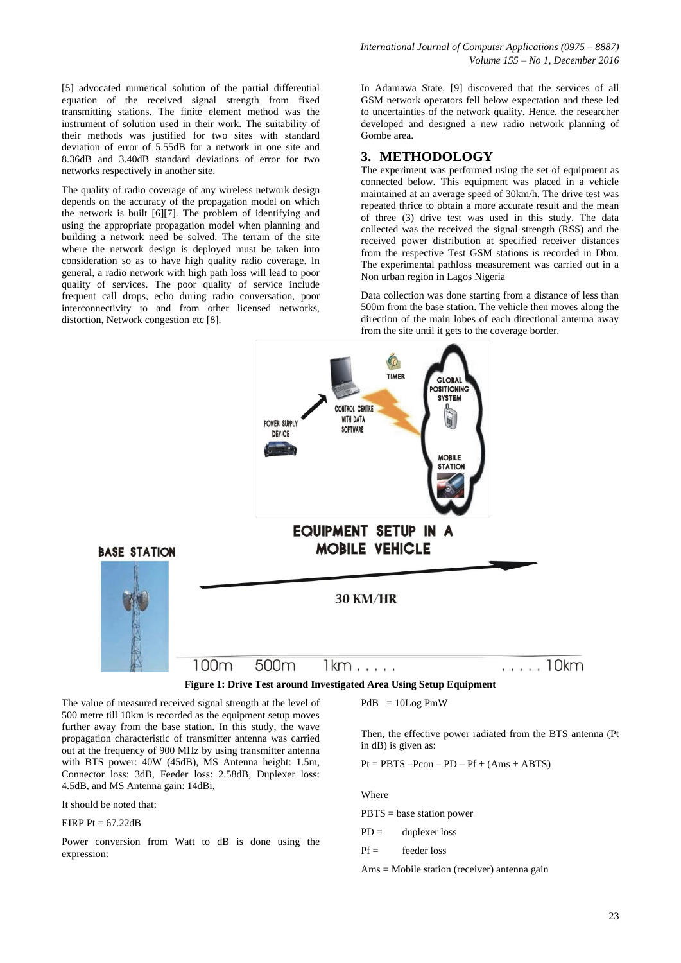[5] advocated numerical solution of the partial differential equation of the received signal strength from fixed transmitting stations. The finite element method was the instrument of solution used in their work. The suitability of their methods was justified for two sites with standard deviation of error of 5.55dB for a network in one site and 8.36dB and 3.40dB standard deviations of error for two networks respectively in another site.

The quality of radio coverage of any wireless network design depends on the accuracy of the propagation model on which the network is built [6][7]. The problem of identifying and using the appropriate propagation model when planning and building a network need be solved. The terrain of the site where the network design is deployed must be taken into consideration so as to have high quality radio coverage. In general, a radio network with high path loss will lead to poor quality of services. The poor quality of service include frequent call drops, echo during radio conversation, poor interconnectivity to and from other licensed networks, distortion, Network congestion etc [8].

In Adamawa State, [9] discovered that the services of all GSM network operators fell below expectation and these led to uncertainties of the network quality. Hence, the researcher developed and designed a new radio network planning of Gombe area.

# **3. METHODOLOGY**

The experiment was performed using the set of equipment as connected below. This equipment was placed in a vehicle maintained at an average speed of 30km/h. The drive test was repeated thrice to obtain a more accurate result and the mean of three (3) drive test was used in this study. The data collected was the received the signal strength (RSS) and the received power distribution at specified receiver distances from the respective Test GSM stations is recorded in Dbm. The experimental pathloss measurement was carried out in a Non urban region in Lagos Nigeria

Data collection was done starting from a distance of less than 500m from the base station. The vehicle then moves along the direction of the main lobes of each directional antenna away from the site until it gets to the coverage border.



The value of measured received signal strength at the level of 500 metre till 10km is recorded as the equipment setup moves further away from the base station. In this study, the wave propagation characteristic of transmitter antenna was carried out at the frequency of 900 MHz by using transmitter antenna with BTS power: 40W (45dB), MS Antenna height: 1.5m, Connector loss: 3dB, Feeder loss: 2.58dB, Duplexer loss: 4.5dB, and MS Antenna gain: 14dBi,

It should be noted that:

#### EIRP  $P_t = 67.22dB$

Power conversion from Watt to dB is done using the expression:

#### $PdB = 10Log PmW$

Then, the effective power radiated from the BTS antenna (Pt in dB) is given as:

 $Pt = PBTS -Pcon - PD - Pf + (Ams + ABTS)$ 

Where

PBTS = base station power

- $PD =$  duplexer loss
- $Pf =$  feeder loss

Ams = Mobile station (receiver) antenna gain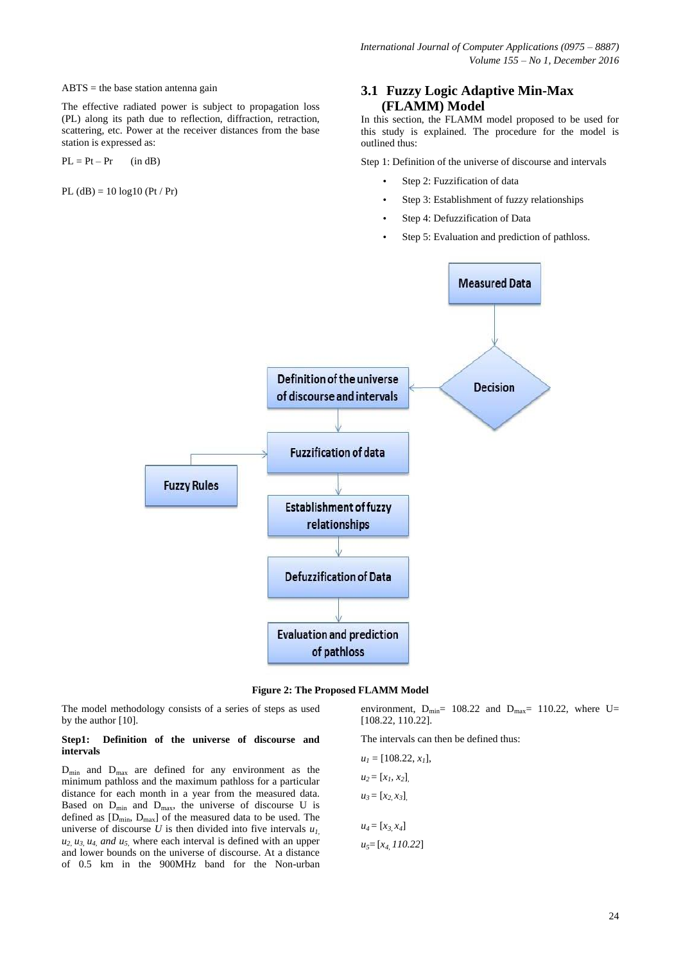#### $ABTS =$  the base station antenna gain

The effective radiated power is subject to propagation loss (PL) along its path due to reflection, diffraction, retraction, scattering, etc. Power at the receiver distances from the base station is expressed as:

 $PL = Pt - Pr$  (in dB)

 $PL$  (dB) = 10  $log 10$  (Pt / Pr)

# **3.1 Fuzzy Logic Adaptive Min-Max (FLAMM) Model**

In this section, the FLAMM model proposed to be used for this study is explained. The procedure for the model is outlined thus:

Step 1: Definition of the universe of discourse and intervals

- Step 2: Fuzzification of data
- Step 3: Establishment of fuzzy relationships
- Step 4: Defuzzification of Data
- Step 5: Evaluation and prediction of pathloss.





The model methodology consists of a series of steps as used by the author [10].

#### **Step1: Definition of the universe of discourse and intervals**

 $D_{\text{min}}$  and  $D_{\text{max}}$  are defined for any environment as the minimum pathloss and the maximum pathloss for a particular distance for each month in a year from the measured data. Based on  $D_{min}$  and  $D_{max}$ , the universe of discourse U is defined as  $[D_{min}, D_{max}]$  of the measured data to be used. The universe of discourse  $U$  is then divided into five intervals  $u_{I}$ ,  $u_2$ ,  $u_3$ ,  $u_4$ , and  $u_5$ , where each interval is defined with an upper and lower bounds on the universe of discourse. At a distance of 0.5 km in the 900MHz band for the Non-urban

environment,  $D_{\text{min}} = 108.22$  and  $D_{\text{max}} = 110.22$ , where U= [108.22, 110.22].

The intervals can then be defined thus:

 $u_1 = [108.22, x_1]$  $u_2 = [x_1, x_2]$  $u_3 = [x_2, x_3]$  $u_4 = [x_3, x_4]$ *u5*= [*x4, 110.22*]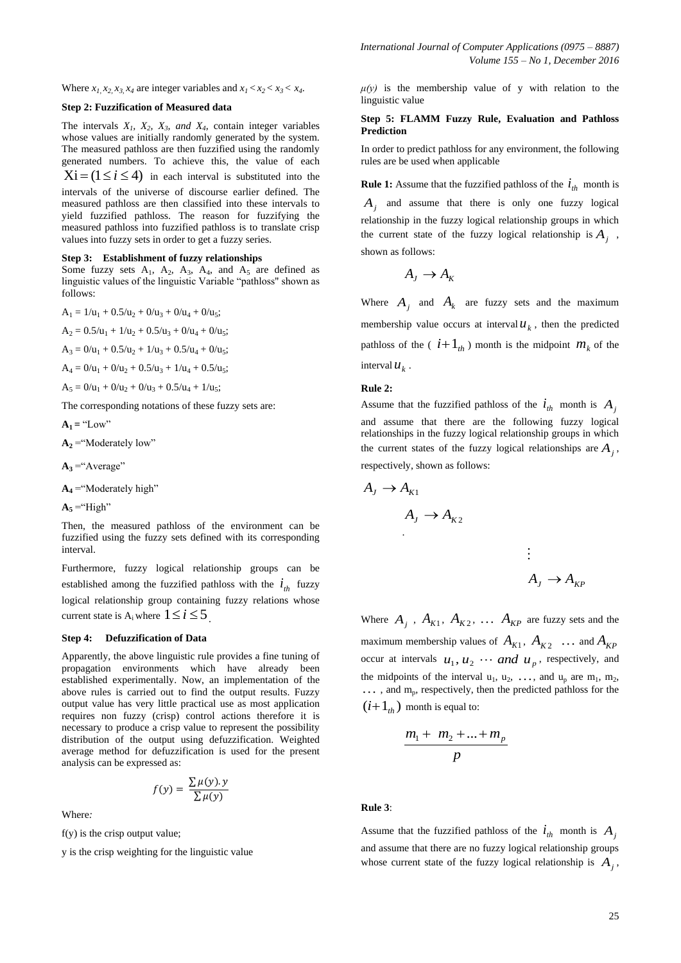Where  $x_1, x_2, x_3, x_4$  are integer variables and  $x_1 < x_2 < x_3 < x_4$ .

#### **Step 2: Fuzzification of Measured data**

The intervals  $X_1$ ,  $X_2$ ,  $X_3$ *, and*  $X_4$ , contain integer variables whose values are initially randomly generated by the system. The measured pathloss are then fuzzified using the randomly generated numbers. To achieve this, the value of each  $Xi = (1 \le i \le 4)$  in each interval is substituted into the

intervals of the universe of discourse earlier defined. The measured pathloss are then classified into these intervals to yield fuzzified pathloss. The reason for fuzzifying the measured pathloss into fuzzified pathloss is to translate crisp values into fuzzy sets in order to get a fuzzy series.

#### **Step 3: Establishment of fuzzy relationships**

Some fuzzy sets  $A_1$ ,  $A_2$ ,  $A_3$ ,  $A_4$ , and  $A_5$  are defined as linguistic values of the linguistic Variable "pathloss" shown as follows:

 $A_1 = 1/u_1 + 0.5/u_2 + 0/u_3 + 0/u_4 + 0/u_5;$ 

- $A_2 = 0.5/u_1 + 1/u_2 + 0.5/u_3 + 0/u_4 + 0/u_5;$
- $A_3 = 0/u_1 + 0.5/u_2 + 1/u_3 + 0.5/u_4 + 0/u_5;$
- $A_4 = 0/u_1 + 0/u_2 + 0.5/u_3 + 1/u_4 + 0.5/u_5;$
- $A_5 = 0/u_1 + 0/u_2 + 0/u_3 + 0.5/u_4 + 1/u_5;$

The corresponding notations of these fuzzy sets are:

 $A_1 = "Low"$ 

 $A_2$  = "Moderately low"

 $A_3$  = "Average"

 $A_4$  = "Moderately high"

 $A_5$  = "High"

Then, the measured pathloss of the environment can be fuzzified using the fuzzy sets defined with its corresponding interval.

Furthermore, fuzzy logical relationship groups can be established among the fuzzified pathloss with the  $i_{th}$  fuzzy logical relationship group containing fuzzy relations whose current state is  $A_i$  where  $1 \le i \le 5$ .

#### **Step 4: Defuzzification of Data**

Apparently, the above linguistic rule provides a fine tuning of propagation environments which have already been established experimentally. Now, an implementation of the above rules is carried out to find the output results. Fuzzy output value has very little practical use as most application requires non fuzzy (crisp) control actions therefore it is necessary to produce a crisp value to represent the possibility distribution of the output using defuzzification. Weighted average method for defuzzification is used for the present analysis can be expressed as:

$$
f(y) = \frac{\sum \mu(y).y}{\sum \mu(y)}
$$

Where*:* 

 $f(y)$  is the crisp output value;

y is the crisp weighting for the linguistic value

 $\mu(y)$  is the membership value of y with relation to the linguistic value

#### **Step 5: FLAMM Fuzzy Rule, Evaluation and Pathloss Prediction**

In order to predict pathloss for any environment, the following rules are be used when applicable

**Rule 1:** Assume that the fuzzified pathloss of the  $i_{th}$  month is  $A_j$  and assume that there is only one fuzzy logical relationship in the fuzzy logical relationship groups in which the current state of the fuzzy logical relationship is  $A_j$ , shown as follows:

$$
A_J \to A_K
$$

Where  $A_j$  and  $A_k$  are fuzzy sets and the maximum membership value occurs at interval  $u_k$ , then the predicted pathloss of the  $(i+1_{th})$  month is the midpoint  $m_k$  of the interval  $u_k$ .

#### **Rule 2:**

Assume that the fuzzified pathloss of the  $i_{th}$  month is  $A_j$ and assume that there are the following fuzzy logical relationships in the fuzzy logical relationship groups in which the current states of the fuzzy logical relationships are  $A_j$ , respectively, shown as follows:

$$
A_J \to A_{K1}
$$
  
\n
$$
A_J \to A_{K2}
$$
  
\n
$$
\vdots
$$
  
\n
$$
A_J \to A_{K2}
$$

Where  $A_j$ ,  $A_{K1}$ ,  $A_{K2}$ ,  $\ldots$   $A_{KP}$  are fuzzy sets and the maximum membership values of  $A_{K1}$ ,  $A_{K2}$  ... and  $A_{KP}$ occur at intervals  $u_1, u_2 \cdots$  and  $u_p$ , respectively, and the midpoints of the interval  $u_1, u_2, \ldots$ , and  $u_p$  are  $m_1, m_2$ , ..., and m<sub>p</sub>, respectively, then the predicted pathloss for the  $(i+1<sub>th</sub>)$  month is equal to:

$$
\frac{m_1 + m_2 + \dots + m_p}{p}
$$

#### **Rule 3**:

Assume that the fuzzified pathloss of the  $i_{th}$  month is  $A_j$ and assume that there are no fuzzy logical relationship groups whose current state of the fuzzy logical relationship is  $A_j$ ,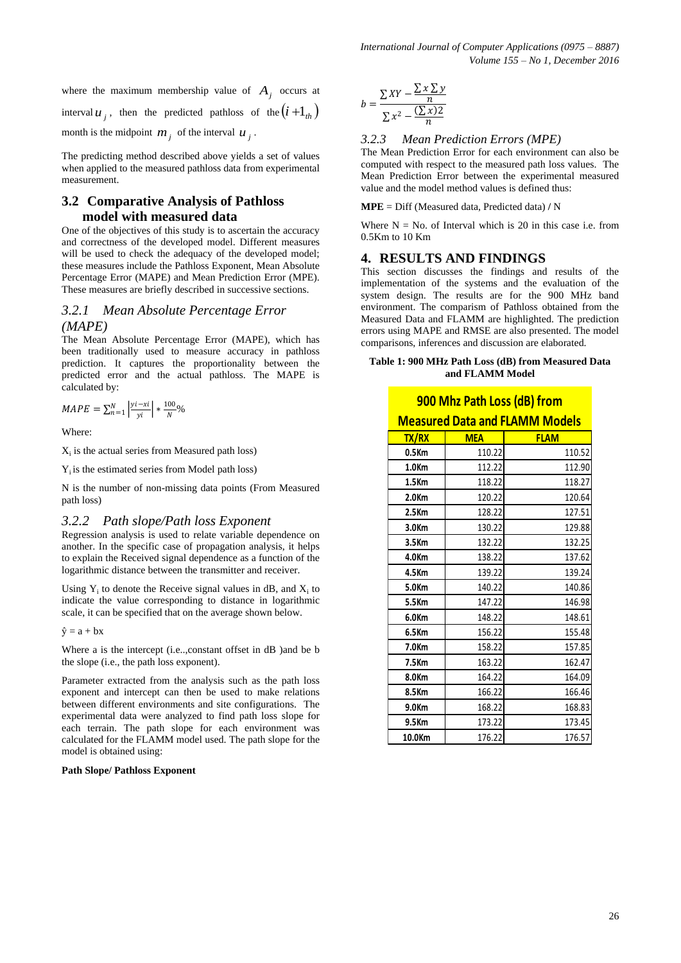where the maximum membership value of  $A_j$  occurs at interval  $u_j$ , then the predicted pathloss of the  $(i+1_{th})$ month is the midpoint  $m_j$  of the interval  $u_j$ .

The predicting method described above yields a set of values when applied to the measured pathloss data from experimental measurement.

# **3.2 Comparative Analysis of Pathloss model with measured data**

One of the objectives of this study is to ascertain the accuracy and correctness of the developed model. Different measures will be used to check the adequacy of the developed model; these measures include the Pathloss Exponent, Mean Absolute Percentage Error (MAPE) and Mean Prediction Error (MPE). These measures are briefly described in successive sections.

### *3.2.1 Mean Absolute Percentage Error (MAPE)*

The Mean Absolute Percentage Error (MAPE), which has been traditionally used to measure accuracy in pathloss prediction. It captures the proportionality between the predicted error and the actual pathloss. The MAPE is calculated by:

$$
MAPE = \sum_{n=1}^{N} \left| \frac{y_i - xi}{yi} \right| * \frac{100}{N} \%
$$

Where:

 $X_i$  is the actual series from Measured path loss)

 $Y_i$  is the estimated series from Model path loss)

N is the number of non-missing data points (From Measured path loss)

#### *3.2.2 Path slope/Path loss Exponent*

Regression analysis is used to relate variable dependence on another. In the specific case of propagation analysis, it helps to explain the Received signal dependence as a function of the logarithmic distance between the transmitter and receiver.

Using  $Y_i$  to denote the Receive signal values in dB, and  $X_i$  to indicate the value corresponding to distance in logarithmic scale, it can be specified that on the average shown below.

 $\hat{y} = a + bx$ 

Where a is the intercept (i.e..,constant offset in dB )and be b the slope (i.e., the path loss exponent).

Parameter extracted from the analysis such as the path loss exponent and intercept can then be used to make relations between different environments and site configurations. The experimental data were analyzed to find path loss slope for each terrain. The path slope for each environment was calculated for the FLAMM model used. The path slope for the model is obtained using:

#### **Path Slope/ Pathloss Exponent**

$$
b = \frac{\sum XY - \frac{\sum x \sum y}{n}}{\sum x^2 - \frac{(\sum x)2}{n}}
$$

#### *3.2.3 Mean Prediction Errors (MPE)*

The Mean Prediction Error for each environment can also be computed with respect to the measured path loss values. The Mean Prediction Error between the experimental measured value and the model method values is defined thus:

**MPE** = Diff (Measured data, Predicted data) **/** N

Where  $N = No$ . of Interval which is 20 in this case i.e. from 0.5Km to 10 Km

#### **4. RESULTS AND FINDINGS**

This section discusses the findings and results of the implementation of the systems and the evaluation of the system design. The results are for the 900 MHz band environment. The comparism of Pathloss obtained from the Measured Data and FLAMM are highlighted. The prediction errors using MAPE and RMSE are also presented. The model comparisons, inferences and discussion are elaborated.

#### **Table 1: 900 MHz Path Loss (dB) from Measured Data and FLAMM Model**

# **900 Mhz Path Loss (dB) from**

#### **Measured Data and FLAMM Models**

| <b>TX/RX</b>      | <b>MEA</b> | <b>FLAM</b> |
|-------------------|------------|-------------|
| 0.5Km             | 110.22     | 110.52      |
| 1.0 <sub>Km</sub> | 112.22     | 112.90      |
| 1.5Km             | 118.22     | 118.27      |
| 2.0Km             | 120.22     | 120.64      |
| $2.5$ Km          | 128.22     | 127.51      |
| 3.0Km             | 130.22     | 129.88      |
| 3.5Km             | 132.22     | 132.25      |
| 4.0Km             | 138.22     | 137.62      |
| 4.5Km             | 139.22     | 139.24      |
| 5.0Km             | 140.22     | 140.86      |
| 5.5Km             | 147.22     | 146.98      |
| 6.0Km             | 148.22     | 148.61      |
| 6.5Km             | 156.22     | 155.48      |
| 7.0 <sub>Km</sub> | 158.22     | 157.85      |
| 7.5Km             | 163.22     | 162.47      |
| 8.0Km             | 164.22     | 164.09      |
| 8.5Km             | 166.22     | 166.46      |
| 9.0Km             | 168.22     | 168.83      |
| 9.5Km             | 173.22     | 173.45      |
| 10.0Km            | 176.22     | 176.57      |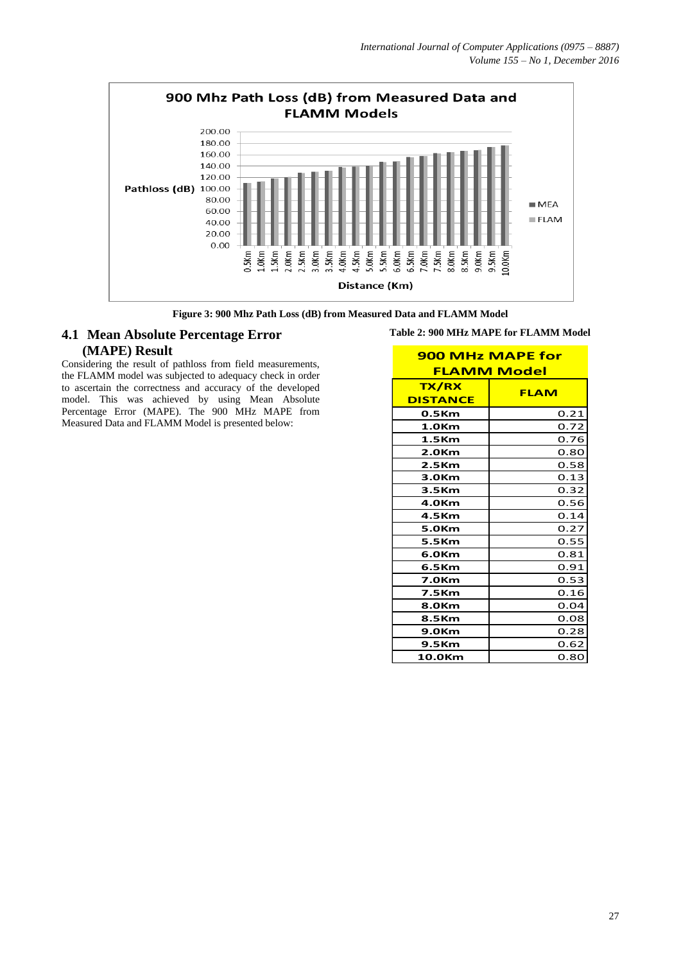

**Figure 3: 900 Mhz Path Loss (dB) from Measured Data and FLAMM Model**

# **4.1 Mean Absolute Percentage Error (MAPE) Result**

Considering the result of pathloss from field measurements, the FLAMM model was subjected to adequacy check in order to ascertain the correctness and accuracy of the developed model. This was achieved by using Mean Absolute Percentage Error (MAPE). The 900 MHz MAPE from Measured Data and FLAMM Model is presented below:

| <b>900 MHz MAPE for</b> |             |  |
|-------------------------|-------------|--|
| <b>FLAMM Model</b>      |             |  |
| <b>TX/RX</b>            | <b>FLAM</b> |  |
| <b>DISTANCE</b>         |             |  |
| 0.5Km                   | 0.21        |  |
| 1.0Km                   | 0.72        |  |
| 1.5 <sub>km</sub>       | 0.76        |  |
| 2.0 <sub>Km</sub>       | 0.80        |  |
| 2.5 <sub>km</sub>       | 0.58        |  |
| 3.0Km                   | 0.13        |  |
| 3.5Km                   | 0.32        |  |
| 4.0 <sub>Km</sub>       | 0.56        |  |
| 4.5Km                   | 0.14        |  |
| 5.0 <sub>Km</sub>       | 0.27        |  |
| 5.5Km                   | 0.55        |  |
| 6.0Km                   | 0.81        |  |
| 6.5Km                   | 0.91        |  |
| <b>7.0Km</b>            | 0.53        |  |
| 7.5Km                   | 0.16        |  |
| 8.0 <sub>Km</sub>       | 0.04        |  |
| 8.5Km                   | 0.08        |  |
| 9.0 <sub>Km</sub>       | 0.28        |  |
| 9.5Km                   | 0.62        |  |
| 10.0 <sub>Km</sub>      | 0.80        |  |

**Table 2: 900 MHz MAPE for FLAMM Model**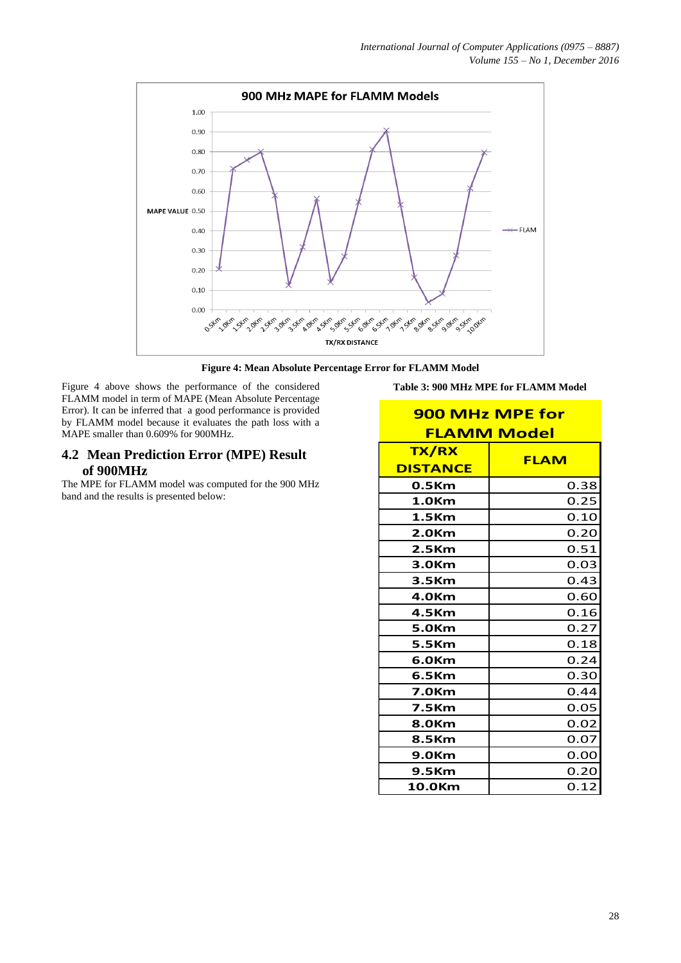

**Figure 4: Mean Absolute Percentage Error for FLAMM Model**

Figure 4 above shows the performance of the considered FLAMM model in term of MAPE (Mean Absolute Percentage Error). It can be inferred that a good performance is provided by FLAMM model because it evaluates the path loss with a MAPE smaller than 0.609% for 900MHz.

# **4.2 Mean Prediction Error (MPE) Result of 900MHz**

The MPE for FLAMM model was computed for the 900 MHz band and the results is presented below:

**Table 3: 900 MHz MPE for FLAMM Model**

| <b>900 MHz MPE for</b><br><b>FLAMM Model</b> |             |  |
|----------------------------------------------|-------------|--|
| <b>TX/RX</b><br><b>DISTANCE</b>              | <b>FLAM</b> |  |
| 0.5Km                                        | 0.38        |  |
| 1.0Km                                        | 0.25        |  |
| 1.5Km                                        | 0.10        |  |
| 2.0Km                                        | 0.20        |  |
| 2.5Km                                        | 0.51        |  |
| 3.0Km                                        | 0.03        |  |
| 3.5Km                                        | 0.43        |  |
| 4.0Km                                        | 0.60        |  |
| 4.5Km                                        | 0.16        |  |
| 5.0Km                                        | 0.27        |  |
| 5.5Km                                        | 0.18        |  |
| 6.0Km                                        | 0.24        |  |
| 6.5Km                                        | 0.30        |  |
| <b>7.0Km</b>                                 | 0.44        |  |
| 7.5Km                                        | 0.05        |  |
| 8.0 <sub>Km</sub>                            | 0.02        |  |
| 8.5Km                                        | 0.07        |  |
| 9.0 <sub>Km</sub>                            | 0.00        |  |
| 9.5Km                                        | 0.20        |  |
| 10.0Km                                       | 0.12        |  |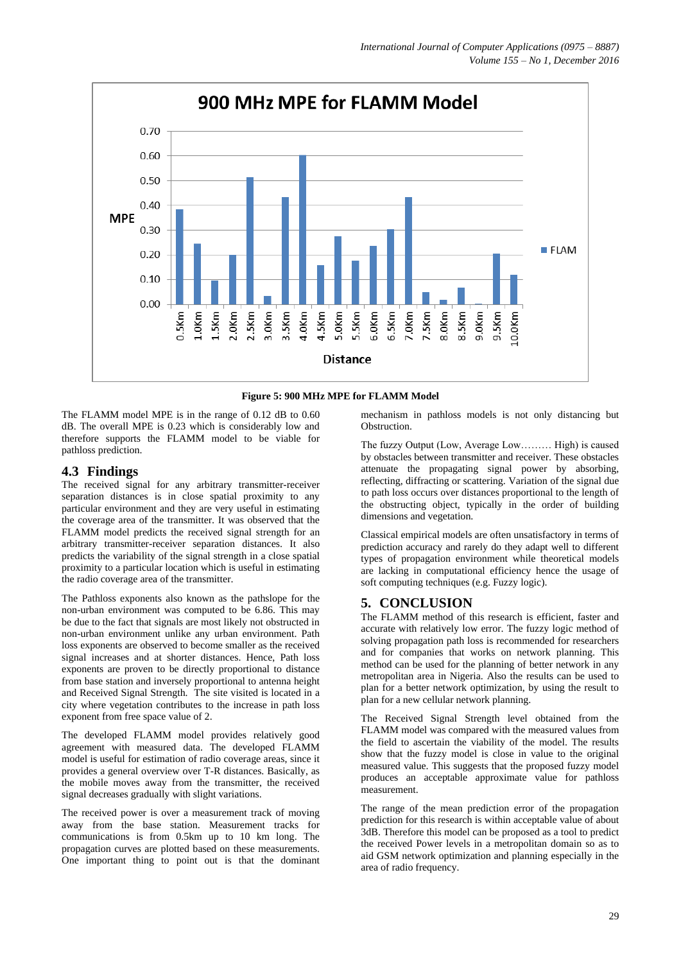



The FLAMM model MPE is in the range of 0.12 dB to 0.60 dB. The overall MPE is 0.23 which is considerably low and therefore supports the FLAMM model to be viable for pathloss prediction.

# **4.3 Findings**

The received signal for any arbitrary transmitter-receiver separation distances is in close spatial proximity to any particular environment and they are very useful in estimating the coverage area of the transmitter. It was observed that the FLAMM model predicts the received signal strength for an arbitrary transmitter-receiver separation distances. It also predicts the variability of the signal strength in a close spatial proximity to a particular location which is useful in estimating the radio coverage area of the transmitter.

The Pathloss exponents also known as the pathslope for the non-urban environment was computed to be 6.86. This may be due to the fact that signals are most likely not obstructed in non-urban environment unlike any urban environment. Path loss exponents are observed to become smaller as the received signal increases and at shorter distances. Hence, Path loss exponents are proven to be directly proportional to distance from base station and inversely proportional to antenna height and Received Signal Strength. The site visited is located in a city where vegetation contributes to the increase in path loss exponent from free space value of 2.

The developed FLAMM model provides relatively good agreement with measured data. The developed FLAMM model is useful for estimation of radio coverage areas, since it provides a general overview over T-R distances. Basically, as the mobile moves away from the transmitter, the received signal decreases gradually with slight variations.

The received power is over a measurement track of moving away from the base station. Measurement tracks for communications is from 0.5km up to 10 km long. The propagation curves are plotted based on these measurements. One important thing to point out is that the dominant mechanism in pathloss models is not only distancing but Obstruction.

The fuzzy Output (Low, Average Low……… High) is caused by obstacles between transmitter and receiver. These obstacles attenuate the propagating signal power by absorbing, reflecting, diffracting or scattering. Variation of the signal due to path loss occurs over distances proportional to the length of the obstructing object, typically in the order of building dimensions and vegetation.

Classical empirical models are often unsatisfactory in terms of prediction accuracy and rarely do they adapt well to different types of propagation environment while theoretical models are lacking in computational efficiency hence the usage of soft computing techniques (e.g. Fuzzy logic).

# **5. CONCLUSION**

The FLAMM method of this research is efficient, faster and accurate with relatively low error. The fuzzy logic method of solving propagation path loss is recommended for researchers and for companies that works on network planning. This method can be used for the planning of better network in any metropolitan area in Nigeria. Also the results can be used to plan for a better network optimization, by using the result to plan for a new cellular network planning.

The Received Signal Strength level obtained from the FLAMM model was compared with the measured values from the field to ascertain the viability of the model. The results show that the fuzzy model is close in value to the original measured value. This suggests that the proposed fuzzy model produces an acceptable approximate value for pathloss measurement.

The range of the mean prediction error of the propagation prediction for this research is within acceptable value of about 3dB. Therefore this model can be proposed as a tool to predict the received Power levels in a metropolitan domain so as to aid GSM network optimization and planning especially in the area of radio frequency.